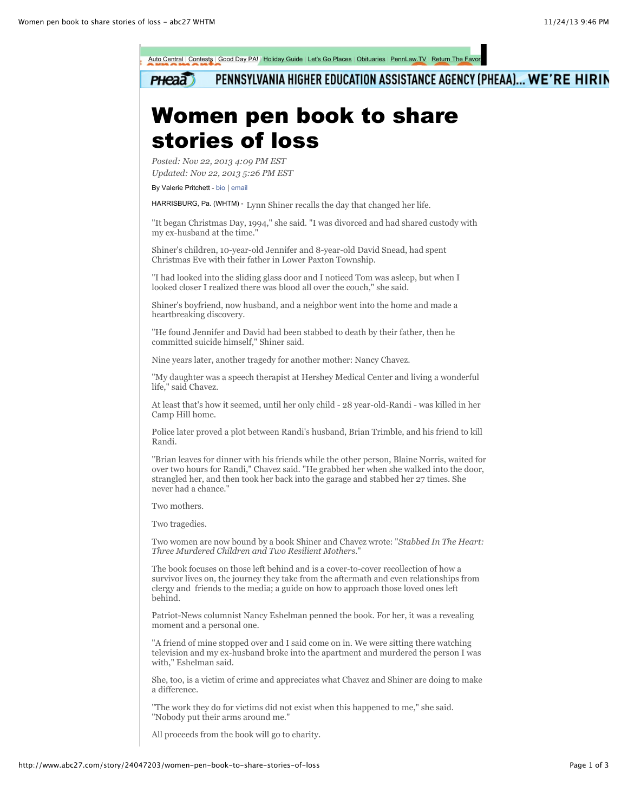

PENNSYLVANIA HIGHER EDUCATION ASSISTANCE AGENCY (PHEAA)... WE'RE HIRIN **PHeaa** 

## Women pen book to share stories of loss

*Posted: Nov 22, 2013 4:09 PM EST Updated: Nov 22, 2013 5:26 PM EST*

By Valerie Pritchett - [bio](http://www.abc27.com/story/12809464/valerie-pritchett) | [email](mailto:vpritchett@abc27.com?body=http://www.abc27.com/story/24047203/women-pen-book-to-share-stories-of-loss)

HARRISBURG, Pa. (WHTM) - Lynn Shiner recalls the day that changed her life.

"It began Christmas Day, 1994," she said. "I was divorced and had shared custody with my ex-husband at the time."

Shiner's children, 10-year-old Jennifer and 8-year-old David Snead, had spent Christmas Eve with their father in Lower Paxton Township.

"I had looked into the sliding glass door and I noticed Tom was asleep, but when I looked closer I realized there was blood all over the couch," she said.

Shiner's boyfriend, now husband, and a neighbor went into the home and made a heartbreaking discovery.

"He found Jennifer and David had been stabbed to death by their father, then he committed suicide himself," Shiner said.

Nine years later, another tragedy for another mother: Nancy Chavez.

"My daughter was a speech therapist at Hershey Medical Center and living a wonderful life," said Chavez.

At least that's how it seemed, until her only child - 28 year-old-Randi - was killed in her Camp Hill home.

Police later proved a plot between Randi's husband, Brian Trimble, and his friend to kill Randi.

"Brian leaves for dinner with his friends while the other person, Blaine Norris, waited for over two hours for Randi," Chavez said. "He grabbed her when she walked into the door, strangled her, and then took her back into the garage and stabbed her 27 times. She never had a chance."

Two mothers.

Two tragedies.

Two women are now bound by a book Shiner and Chavez wrote: "*Stabbed In The Heart: Three Murdered Children and Two Resilient Mothers*."

The book focuses on those left behind and is a cover-to-cover recollection of how a survivor lives on, the journey they take from the aftermath and even relationships from clergy and friends to the media; a guide on how to approach those loved ones left behind.

Patriot-News columnist Nancy Eshelman penned the book. For her, it was a revealing moment and a personal one.

"A friend of mine stopped over and I said come on in. We were sitting there watching television and my ex-husband broke into the apartment and murdered the person I was with," Eshelman said.

She, too, is a victim of crime and appreciates what Chavez and Shiner are doing to make a difference.

"The work they do for victims did not exist when this happened to me," she said. "Nobody put their arms around me."

All proceeds from the book will go to charity.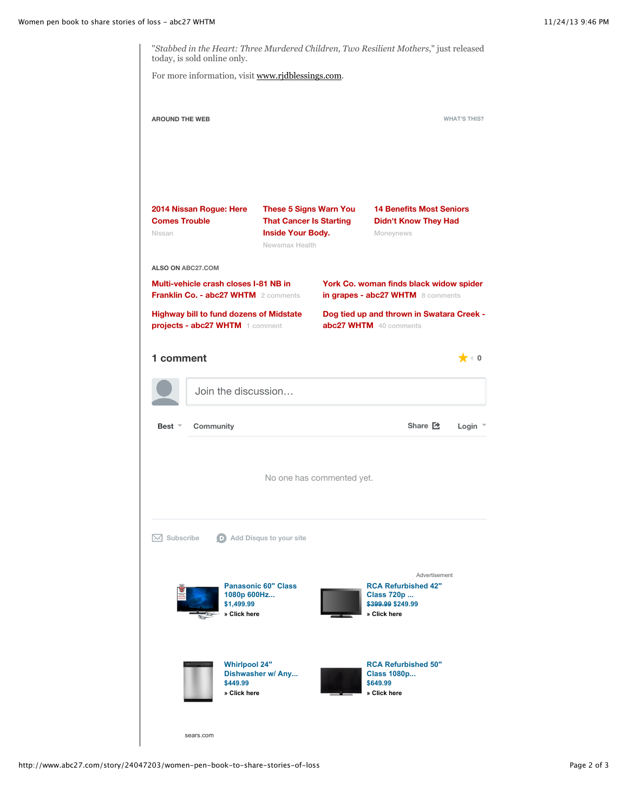"*Stabbed in the Heart: Three Murdered Children, Two Resilient Mothers*," just released today, is sold online only.

For more information, visit [www.rjdblessings.com](http://www.rjdblessings.com/).

| <b>AROUND THE WEB</b>                                                             |                                                                                      |                                                                                                               |                                                                     |                                                                                                        | <b>WHAT'S THIS?</b>       |
|-----------------------------------------------------------------------------------|--------------------------------------------------------------------------------------|---------------------------------------------------------------------------------------------------------------|---------------------------------------------------------------------|--------------------------------------------------------------------------------------------------------|---------------------------|
| 2014 Nissan Rogue: Here<br><b>Comes Trouble</b><br>Nissan                         |                                                                                      | <b>These 5 Signs Warn You</b><br><b>That Cancer Is Starting</b><br><b>Inside Your Body.</b><br>Newsmax Health |                                                                     | <b>14 Benefits Most Seniors</b><br><b>Didn't Know They Had</b><br>Moneynews                            |                           |
| ALSO ON ABC27,COM                                                                 | Multi-vehicle crash closes I-81 NB in<br><b>Franklin Co. - abc27 WHTM</b> 2 comments |                                                                                                               |                                                                     | York Co. woman finds black widow spider<br>in grapes - abc27 WHTM 8 comments                           |                           |
| <b>Highway bill to fund dozens of Midstate</b><br>projects - abc27 WHTM 1 comment |                                                                                      |                                                                                                               | Dog tied up and thrown in Swatara Creek -<br>abc27 WHTM 40 comments |                                                                                                        |                           |
| 1 comment                                                                         |                                                                                      |                                                                                                               |                                                                     |                                                                                                        | $\blacktriangleright$ (0) |
|                                                                                   | Join the discussion                                                                  |                                                                                                               |                                                                     |                                                                                                        |                           |
| Community<br>Best $\overline{ }$                                                  |                                                                                      |                                                                                                               |                                                                     | Share <b>Z</b>                                                                                         | Login                     |
| No one has commented yet.                                                         |                                                                                      |                                                                                                               |                                                                     |                                                                                                        |                           |
| $\bowtie$ Subscribe                                                               |                                                                                      | Add Disqus to your site                                                                                       |                                                                     |                                                                                                        |                           |
|                                                                                   | 1080p 600Hz<br>\$1,499.99<br>» Click here                                            | <b>Panasonic 60" Class</b>                                                                                    |                                                                     | Advertisement<br><b>RCA Refurbished 42"</b><br><b>Class 720p </b><br>\$399.99 \$249.99<br>» Click here |                           |
|                                                                                   | <b>Whirlpool 24"</b><br>\$449.99<br>» Click here                                     | Dishwasher w/ Any                                                                                             |                                                                     | <b>RCA Refurbished 50"</b><br><b>Class 1080p</b><br>\$649.99<br>» Click here                           |                           |

[sears.com](http://cas.ny.us.criteo.com/delivery/ck.php?ckmode=9&cb=e81250533b&did=e81250533b&c1=onbg-DAny2qV4gcQWIEEgvJZBo3UOPr_X4Ov6KMraCQXS4wDeRDxIHpsX3SIw2Hn2U10T7H8Ac75SvufnJnNZ9k7KPF4c_iHC0fgRK5FlG_fobdJHPkuJQg9L3BIlRPItE07FM5ThBvtpG0jRJpql03vMraChpKpoSLwn6TN3_pjGB_lGtQzegnY7GBabpcf5HtZwxO3I_UKjQA8TFPoHfpPNqtSwjSdD7Jx52zQtbDSZbt4tfpTPi9mp7M3DR4dZtnFUI-e209Htep5IY-IvTgXbn6Qe1DRYykE9KMhfVI&c2=rff1UFJ9-O6dZbwdZiOtRIgIyCZ0NZXyB6MEXOiykxRB_6t9nwmzcHVtPhpJMXkRl0D981Svzp5L3dCZEJrHTyYaAeh_UQTC_pxmN_veLSo_11oMJ3efZgpHhry1NvX9avpQVe0lPwquZwOg-Jo3QSm1V5KEslVleowpU167-G2UJzxgL0oUrVVTN8x61jcnY2aFSL_yWVRWgs2IUxlU7vPFqPervnxQ30pTkfOKCGMKEwa_H27x2yJLCgfa3e5TaoFCSQpVZ5uTDaP6Tbv4DcQ09aR4e_aKJtvTXOeYizE&maxdest=http%3a%2f%2fwww.sears.com%3fsid%3dIMx20120601x002000-logo-SYWactiveminus)